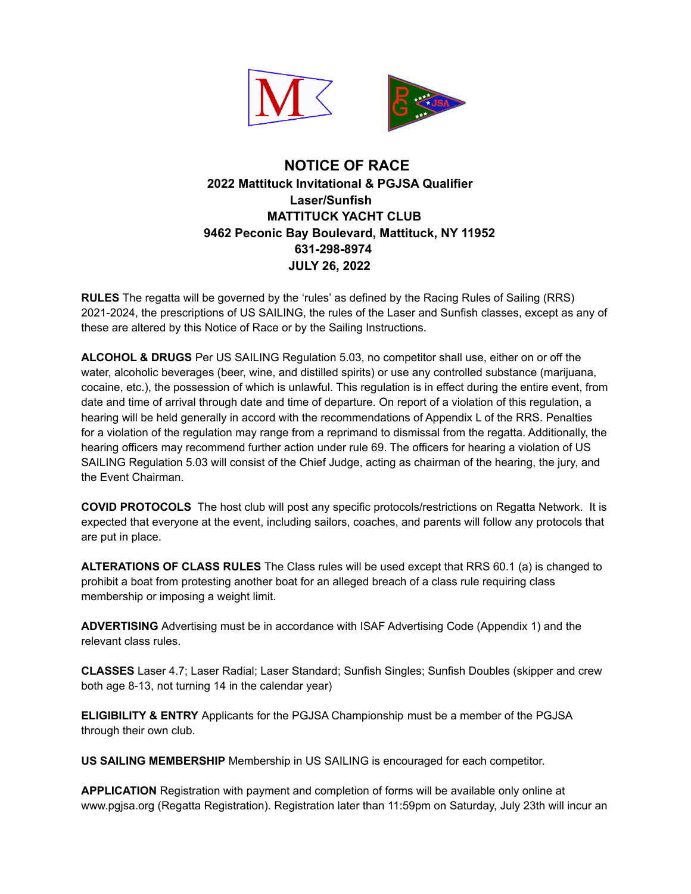

## **NOTICE OF RACE 2022 Mattituck Invitational & PGJSA Qualifier Laser/Sunfish MATTITUCK YACHT CLUB 9462 Peconic Bay Boulevard, Mattituck, NY 11952 631-298-8974 JULY 26, 2022**

**RULES** The regatta will be governed by the 'rules' as defined by the Racing Rules of Sailing (RRS) 2021-2024, the prescriptions of US SAILING, the rules of the Laser and Sunfish classes, except as any of these are altered by this Notice of Race or by the Sailing Instructions.

**ALCOHOL & DRUGS** Per US SAILING Regulation 5.03, no competitor shall use, either on or off the water, alcoholic beverages (beer, wine, and distilled spirits) or use any controlled substance (marijuana, cocaine, etc.), the possession of which is unlawful. This regulation is in effect during the entire event, from date and time of arrival through date and time of departure. On report of a violation of this regulation, a hearing will be held generally in accord with the recommendations of Appendix L of the RRS. Penalties for a violation of the regulation may range from a reprimand to dismissal from the regatta. Additionally, the hearing officers may recommend further action under rule 69. The officers for hearing a violation of US SAILING Regulation 5.03 will consist of the Chief Judge, acting as chairman of the hearing, the jury, and the Event Chairman.

**COVID PROTOCOLS** The host club will post any specific protocols/restrictions on Regatta Network. It is expected that everyone at the event, including sailors, coaches, and parents will follow any protocols that are put in place.

**ALTERATIONS OF CLASS RULES** The Class rules will be used except that RRS 60.1 (a) is changed to prohibit a boat from protesting another boat for an alleged breach of a class rule requiring class membership or imposing a weight limit.

**ADVERTISING** Advertising must be in accordance with ISAF Advertising Code (Appendix 1) and the relevant class rules.

**CLASSES** Laser 4.7; Laser Radial; Laser Standard; Sunfish Singles; Sunfish Doubles (skipper and crew both age 8-13, not turning 14 in the calendar year)

**ELIGIBILITY & ENTRY** Applicants for the PGJSA Championship must be a member of the PGJSA through their own club.

**US SAILING MEMBERSHIP** Membership in US SAILING is encouraged for each competitor.

**APPLICATION** Registration with payment and completion of forms will be available only online at www.pgjsa.org (Regatta Registration). Registration later than 11:59pm on Saturday, July 23th will incur an